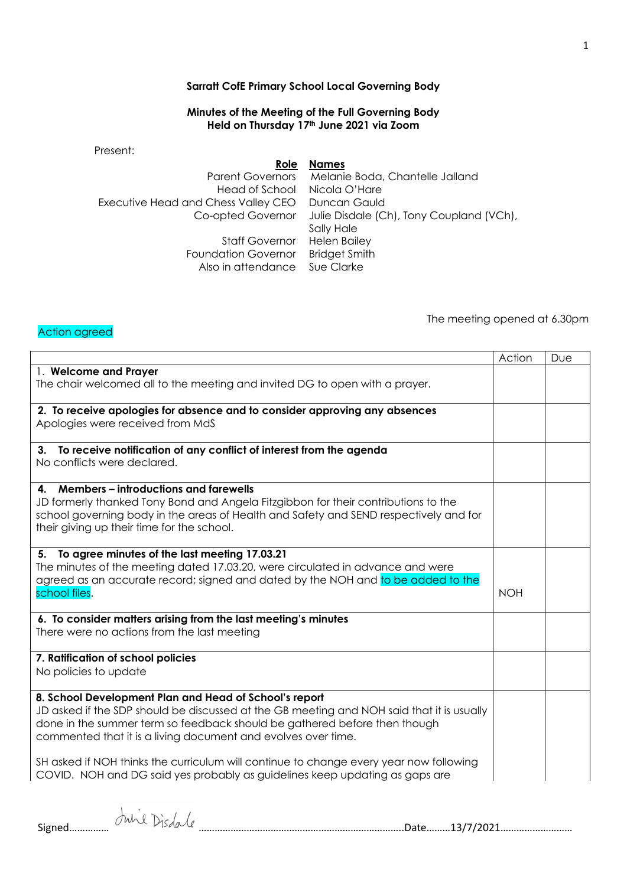## **Sarratt CofE Primary School Local Governing Body**

## **Minutes of the Meeting of the Full Governing Body Held on Thursday 17th June 2021 via Zoom**

Present:

**Role Names** Parent Governors Melanie Boda, Chantelle Jalland Head of School Nicola O'Hare Executive Head and Chess Valley CEO Duncan Gauld Co-opted Governor Julie Disdale (Ch), Tony Coupland (VCh), Sally Hale Staff Governor Helen Bailey Foundation Governor Bridget Smith Also in attendance Sue Clarke

Action agreed

The meeting opened at 6.30pm

|                                                                                           | Action     | Due |
|-------------------------------------------------------------------------------------------|------------|-----|
| 1. Welcome and Prayer                                                                     |            |     |
| The chair welcomed all to the meeting and invited DG to open with a prayer.               |            |     |
|                                                                                           |            |     |
| 2. To receive apologies for absence and to consider approving any absences                |            |     |
| Apologies were received from MdS                                                          |            |     |
|                                                                                           |            |     |
| 3. To receive notification of any conflict of interest from the agenda                    |            |     |
| No conflicts were declared.                                                               |            |     |
|                                                                                           |            |     |
| 4. Members – introductions and farewells                                                  |            |     |
| JD formerly thanked Tony Bond and Angela Fitzgibbon for their contributions to the        |            |     |
| school governing body in the areas of Health and Safety and SEND respectively and for     |            |     |
| their giving up their time for the school.                                                |            |     |
|                                                                                           |            |     |
| To agree minutes of the last meeting 17.03.21<br>5.                                       |            |     |
| The minutes of the meeting dated 17.03.20, were circulated in advance and were            |            |     |
| agreed as an accurate record; signed and dated by the NOH and to be added to the          |            |     |
| school files.                                                                             | <b>NOH</b> |     |
|                                                                                           |            |     |
| 6. To consider matters arising from the last meeting's minutes                            |            |     |
| There were no actions from the last meeting                                               |            |     |
|                                                                                           |            |     |
| 7. Ratification of school policies                                                        |            |     |
| No policies to update                                                                     |            |     |
|                                                                                           |            |     |
| 8. School Development Plan and Head of School's report                                    |            |     |
| JD asked if the SDP should be discussed at the GB meeting and NOH said that it is usually |            |     |
| done in the summer term so feedback should be gathered before then though                 |            |     |
| commented that it is a living document and evolves over time.                             |            |     |
|                                                                                           |            |     |
| SH asked if NOH thinks the curriculum will continue to change every year now following    |            |     |
| COVID. NOH and DG said yes probably as guidelines keep updating as gaps are               |            |     |
|                                                                                           |            |     |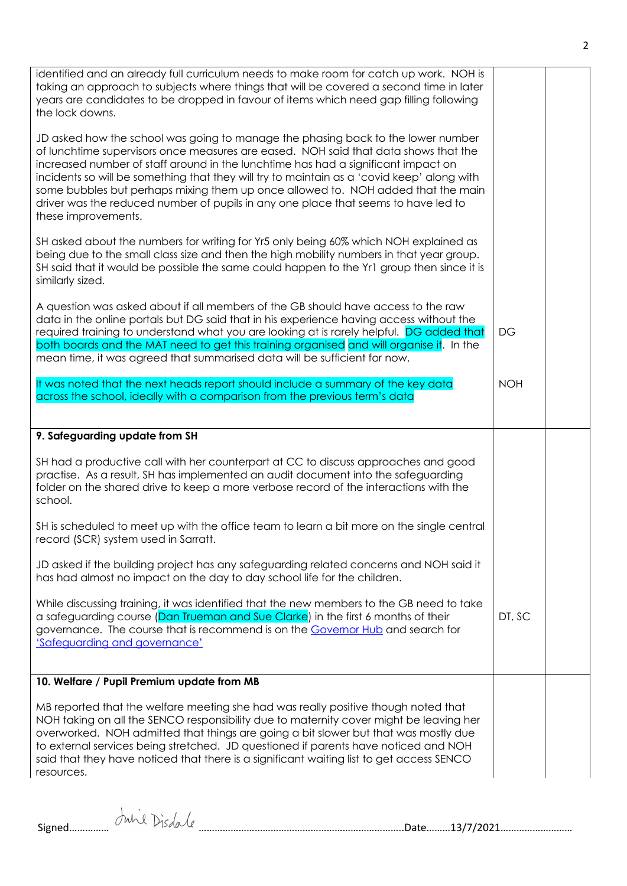| identified and an already full curriculum needs to make room for catch up work. NOH is<br>taking an approach to subjects where things that will be covered a second time in later<br>years are candidates to be dropped in favour of items which need gap filling following<br>the lock downs.                                                                                                                                                                                                                                                              |            |  |
|-------------------------------------------------------------------------------------------------------------------------------------------------------------------------------------------------------------------------------------------------------------------------------------------------------------------------------------------------------------------------------------------------------------------------------------------------------------------------------------------------------------------------------------------------------------|------------|--|
| JD asked how the school was going to manage the phasing back to the lower number<br>of lunchtime supervisors once measures are eased. NOH said that data shows that the<br>increased number of staff around in the lunchtime has had a significant impact on<br>incidents so will be something that they will try to maintain as a 'covid keep' along with<br>some bubbles but perhaps mixing them up once allowed to. NOH added that the main<br>driver was the reduced number of pupils in any one place that seems to have led to<br>these improvements. |            |  |
| SH asked about the numbers for writing for Yr5 only being 60% which NOH explained as<br>being due to the small class size and then the high mobility numbers in that year group.<br>SH said that it would be possible the same could happen to the Yr1 group then since it is<br>similarly sized.                                                                                                                                                                                                                                                           |            |  |
| A question was asked about if all members of the GB should have access to the raw<br>data in the online portals but DG said that in his experience having access without the<br>required training to understand what you are looking at is rarely helpful. DG added that<br>both boards and the MAT need to get this training organised and will organise it. In the<br>mean time, it was agreed that summarised data will be sufficient for now.                                                                                                           | <b>DG</b>  |  |
| It was noted that the next heads report should include a summary of the key data<br>across the school, ideally with a comparison from the previous term's data                                                                                                                                                                                                                                                                                                                                                                                              | <b>NOH</b> |  |
| 9. Safeguarding update from SH                                                                                                                                                                                                                                                                                                                                                                                                                                                                                                                              |            |  |
| SH had a productive call with her counterpart at CC to discuss approaches and good<br>practise. As a result, SH has implemented an audit document into the safeguarding<br>folder on the shared drive to keep a more verbose record of the interactions with the<br>school.                                                                                                                                                                                                                                                                                 |            |  |
| SH is scheduled to meet up with the office team to learn a bit more on the single central<br>record (SCR) system used in Sarratt.                                                                                                                                                                                                                                                                                                                                                                                                                           |            |  |
| JD asked if the building project has any safeguarding related concerns and NOH said it<br>has had almost no impact on the day to day school life for the children.                                                                                                                                                                                                                                                                                                                                                                                          |            |  |
| While discussing training, it was identified that the new members to the GB need to take<br>a safeguarding course (Dan Trueman and Sue Clarke) in the first 6 months of their<br>governance. The course that is recommend is on the Governor Hub and search for<br>'Safeguarding and governance'                                                                                                                                                                                                                                                            | DT, SC     |  |
| 10. Welfare / Pupil Premium update from MB                                                                                                                                                                                                                                                                                                                                                                                                                                                                                                                  |            |  |
| MB reported that the welfare meeting she had was really positive though noted that<br>NOH taking on all the SENCO responsibility due to maternity cover might be leaving her<br>overworked. NOH admitted that things are going a bit slower but that was mostly due<br>to external services being stretched. JD questioned if parents have noticed and NOH<br>said that they have noticed that there is a significant waiting list to get access SENCO<br>resources.                                                                                        |            |  |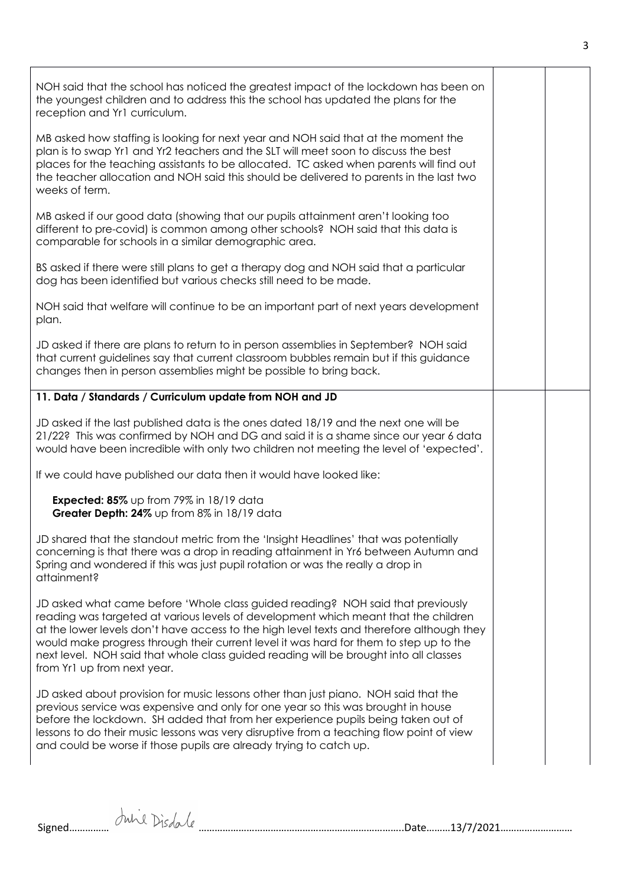| NOH said that the school has noticed the greatest impact of the lockdown has been on<br>the youngest children and to address this the school has updated the plans for the<br>reception and Yr1 curriculum.                                                                                                                                                                                                                                                                           |  |
|---------------------------------------------------------------------------------------------------------------------------------------------------------------------------------------------------------------------------------------------------------------------------------------------------------------------------------------------------------------------------------------------------------------------------------------------------------------------------------------|--|
| MB asked how staffing is looking for next year and NOH said that at the moment the<br>plan is to swap Yr1 and Yr2 teachers and the SLT will meet soon to discuss the best<br>places for the teaching assistants to be allocated. TC asked when parents will find out<br>the teacher allocation and NOH said this should be delivered to parents in the last two<br>weeks of term.                                                                                                     |  |
| MB asked if our good data (showing that our pupils attainment aren't looking too<br>different to pre-covid) is common among other schools? NOH said that this data is<br>comparable for schools in a similar demographic area.                                                                                                                                                                                                                                                        |  |
| BS asked if there were still plans to get a therapy dog and NOH said that a particular<br>dog has been identified but various checks still need to be made.                                                                                                                                                                                                                                                                                                                           |  |
| NOH said that welfare will continue to be an important part of next years development<br>plan.                                                                                                                                                                                                                                                                                                                                                                                        |  |
| JD asked if there are plans to return to in person assemblies in September? NOH said<br>that current guidelines say that current classroom bubbles remain but if this guidance<br>changes then in person assemblies might be possible to bring back.                                                                                                                                                                                                                                  |  |
| 11. Data / Standards / Curriculum update from NOH and JD                                                                                                                                                                                                                                                                                                                                                                                                                              |  |
| JD asked if the last published data is the ones dated 18/19 and the next one will be<br>21/22? This was confirmed by NOH and DG and said it is a shame since our year 6 data<br>would have been incredible with only two children not meeting the level of 'expected'.                                                                                                                                                                                                                |  |
| If we could have published our data then it would have looked like:                                                                                                                                                                                                                                                                                                                                                                                                                   |  |
| Expected: 85% up from 79% in 18/19 data<br>Greater Depth: 24% up from 8% in 18/19 data                                                                                                                                                                                                                                                                                                                                                                                                |  |
| JD shared that the standout metric from the 'Insight Headlines' that was potentially<br>concerning is that there was a drop in reading attainment in Yr6 between Autumn and<br>Spring and wondered if this was just pupil rotation or was the really a drop in<br>attainment?                                                                                                                                                                                                         |  |
| JD asked what came before 'Whole class guided reading? NOH said that previously<br>reading was targeted at various levels of development which meant that the children<br>at the lower levels don't have access to the high level texts and therefore although they<br>would make progress through their current level it was hard for them to step up to the<br>next level. NOH said that whole class guided reading will be brought into all classes<br>from Yr1 up from next year. |  |
| JD asked about provision for music lessons other than just piano. NOH said that the<br>previous service was expensive and only for one year so this was brought in house<br>before the lockdown. SH added that from her experience pupils being taken out of<br>lessons to do their music lessons was very disruptive from a teaching flow point of view<br>and could be worse if those pupils are already trying to catch up.                                                        |  |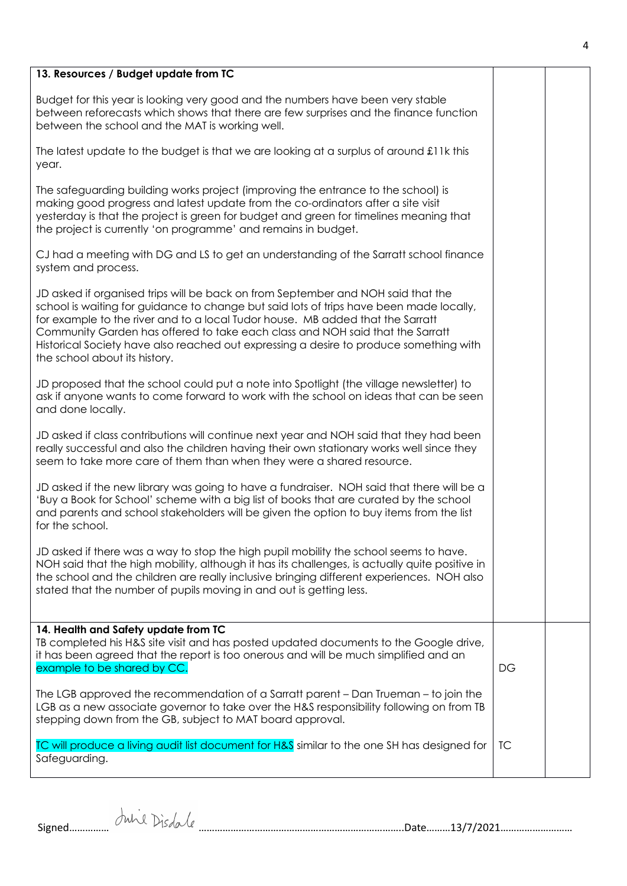| 13. Resources / Budget update from TC                                                                                                                                                                                                                                                                                                                                                                                                                                     |    |  |
|---------------------------------------------------------------------------------------------------------------------------------------------------------------------------------------------------------------------------------------------------------------------------------------------------------------------------------------------------------------------------------------------------------------------------------------------------------------------------|----|--|
| Budget for this year is looking very good and the numbers have been very stable<br>between reforecasts which shows that there are few surprises and the finance function<br>between the school and the MAT is working well.                                                                                                                                                                                                                                               |    |  |
| The latest update to the budget is that we are looking at a surplus of around £11k this<br>year.                                                                                                                                                                                                                                                                                                                                                                          |    |  |
| The safeguarding building works project (improving the entrance to the school) is<br>making good progress and latest update from the co-ordinators after a site visit<br>yesterday is that the project is green for budget and green for timelines meaning that<br>the project is currently 'on programme' and remains in budget.                                                                                                                                         |    |  |
| CJ had a meeting with DG and LS to get an understanding of the Sarratt school finance<br>system and process.                                                                                                                                                                                                                                                                                                                                                              |    |  |
| JD asked if organised trips will be back on from September and NOH said that the<br>school is waiting for guidance to change but said lots of trips have been made locally,<br>for example to the river and to a local Tudor house. MB added that the Sarratt<br>Community Garden has offered to take each class and NOH said that the Sarratt<br>Historical Society have also reached out expressing a desire to produce something with<br>the school about its history. |    |  |
| JD proposed that the school could put a note into Spotlight (the village newsletter) to<br>ask if anyone wants to come forward to work with the school on ideas that can be seen<br>and done locally.                                                                                                                                                                                                                                                                     |    |  |
| JD asked if class contributions will continue next year and NOH said that they had been<br>really successful and also the children having their own stationary works well since they<br>seem to take more care of them than when they were a shared resource.                                                                                                                                                                                                             |    |  |
| JD asked if the new library was going to have a fundraiser. NOH said that there will be a<br>'Buy a Book for School' scheme with a big list of books that are curated by the school<br>and parents and school stakeholders will be given the option to buy items from the list<br>for the school.                                                                                                                                                                         |    |  |
| JD asked if there was a way to stop the high pupil mobility the school seems to have.<br>NOH said that the high mobility, although it has its challenges, is actually quite positive in<br>the school and the children are really inclusive bringing different experiences. NOH also<br>stated that the number of pupils moving in and out is getting less.                                                                                                               |    |  |
| 14. Health and Safety update from TC<br>TB completed his H&S site visit and has posted updated documents to the Google drive,<br>it has been agreed that the report is too onerous and will be much simplified and an<br>example to be shared by CC.                                                                                                                                                                                                                      | DG |  |
| The LGB approved the recommendation of a Sarratt parent – Dan Trueman – to join the<br>LGB as a new associate governor to take over the H&S responsibility following on from TB<br>stepping down from the GB, subject to MAT board approval.                                                                                                                                                                                                                              |    |  |
| TC will produce a living audit list document for H&S similar to the one SH has designed for<br>Safeguarding.                                                                                                                                                                                                                                                                                                                                                              | ТC |  |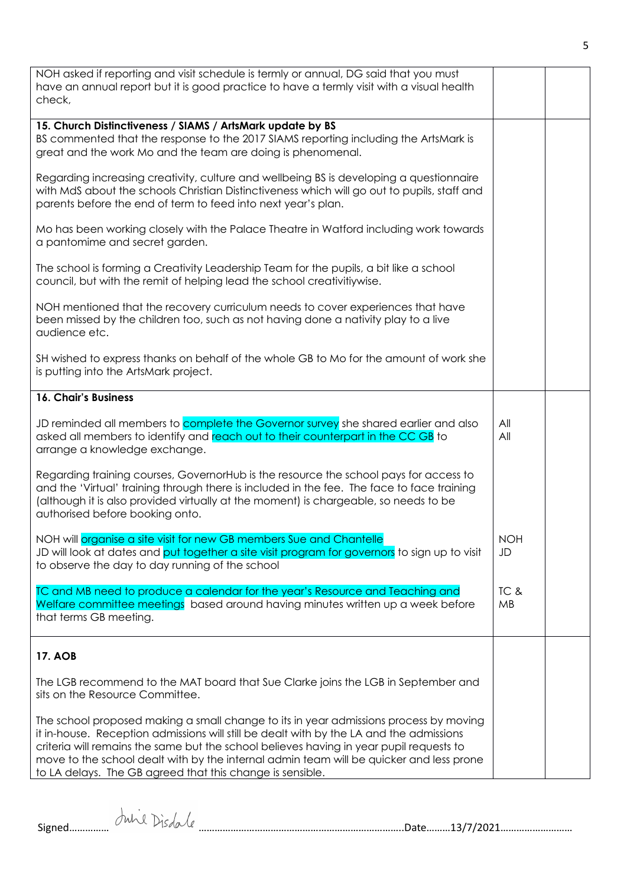| NOH asked if reporting and visit schedule is termly or annual, DG said that you must<br>have an annual report but it is good practice to have a termly visit with a visual health<br>check,                                                                                                                                                                                                                                         |                   |  |
|-------------------------------------------------------------------------------------------------------------------------------------------------------------------------------------------------------------------------------------------------------------------------------------------------------------------------------------------------------------------------------------------------------------------------------------|-------------------|--|
| 15. Church Distinctiveness / SIAMS / ArtsMark update by BS<br>BS commented that the response to the 2017 SIAMS reporting including the ArtsMark is<br>great and the work Mo and the team are doing is phenomenal.                                                                                                                                                                                                                   |                   |  |
| Regarding increasing creativity, culture and wellbeing BS is developing a questionnaire<br>with MdS about the schools Christian Distinctiveness which will go out to pupils, staff and<br>parents before the end of term to feed into next year's plan.                                                                                                                                                                             |                   |  |
| Mo has been working closely with the Palace Theatre in Watford including work towards<br>a pantomime and secret garden.                                                                                                                                                                                                                                                                                                             |                   |  |
| The school is forming a Creativity Leadership Team for the pupils, a bit like a school<br>council, but with the remit of helping lead the school creativitiywise.                                                                                                                                                                                                                                                                   |                   |  |
| NOH mentioned that the recovery curriculum needs to cover experiences that have<br>been missed by the children too, such as not having done a nativity play to a live<br>audience etc.                                                                                                                                                                                                                                              |                   |  |
| SH wished to express thanks on behalf of the whole GB to Mo for the amount of work she<br>is putting into the ArtsMark project.                                                                                                                                                                                                                                                                                                     |                   |  |
| 16. Chair's Business                                                                                                                                                                                                                                                                                                                                                                                                                |                   |  |
| JD reminded all members to complete the Governor survey she shared earlier and also<br>asked all members to identify and reach out to their counterpart in the CC GB to<br>arrange a knowledge exchange.                                                                                                                                                                                                                            | All<br>All        |  |
| Regarding training courses, GovernorHub is the resource the school pays for access to<br>and the 'Virtual' training through there is included in the fee. The face to face training<br>(although it is also provided virtually at the moment) is chargeable, so needs to be<br>authorised before booking onto.                                                                                                                      |                   |  |
| NOH will organise a site visit for new GB members Sue and Chantelle<br>JD will look at dates and put together a site visit program for governors to sign up to visit<br>to observe the day to day running of the school                                                                                                                                                                                                             | <b>NOH</b><br>JD  |  |
| TC and MB need to produce a calendar for the year's Resource and Teaching and<br>Welfare committee meetings based around having minutes written up a week before<br>that terms GB meeting.                                                                                                                                                                                                                                          | TC &<br><b>MB</b> |  |
| <b>17. AOB</b>                                                                                                                                                                                                                                                                                                                                                                                                                      |                   |  |
| The LGB recommend to the MAT board that Sue Clarke joins the LGB in September and<br>sits on the Resource Committee.                                                                                                                                                                                                                                                                                                                |                   |  |
| The school proposed making a small change to its in year admissions process by moving<br>it in-house. Reception admissions will still be dealt with by the LA and the admissions<br>criteria will remains the same but the school believes having in year pupil requests to<br>move to the school dealt with by the internal admin team will be quicker and less prone<br>to LA delays. The GB agreed that this change is sensible. |                   |  |